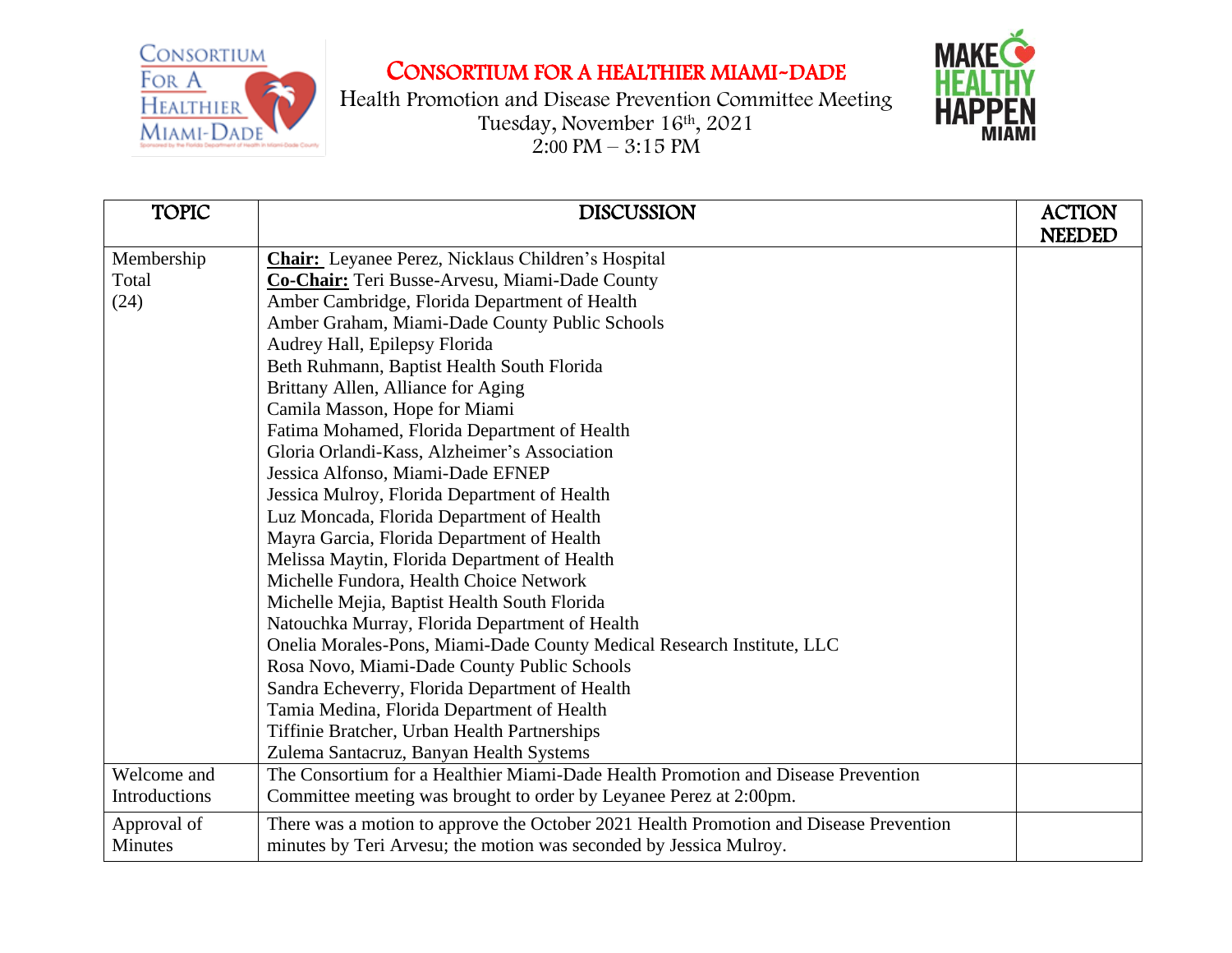**CONSORTIUM** FOR A Healthier MIAMI-DADE

## CONSORTIUM FOR A HEALTHIER MIAMI-DADE





| <b>TOPIC</b>  | <b>DISCUSSION</b>                                                                      | <b>ACTION</b><br><b>NEEDED</b> |
|---------------|----------------------------------------------------------------------------------------|--------------------------------|
| Membership    | <b>Chair:</b> Leyanee Perez, Nicklaus Children's Hospital                              |                                |
| Total         | Co-Chair: Teri Busse-Arvesu, Miami-Dade County                                         |                                |
| (24)          | Amber Cambridge, Florida Department of Health                                          |                                |
|               | Amber Graham, Miami-Dade County Public Schools                                         |                                |
|               | Audrey Hall, Epilepsy Florida                                                          |                                |
|               | Beth Ruhmann, Baptist Health South Florida                                             |                                |
|               | Brittany Allen, Alliance for Aging                                                     |                                |
|               | Camila Masson, Hope for Miami                                                          |                                |
|               | Fatima Mohamed, Florida Department of Health                                           |                                |
|               | Gloria Orlandi-Kass, Alzheimer's Association                                           |                                |
|               | Jessica Alfonso, Miami-Dade EFNEP                                                      |                                |
|               | Jessica Mulroy, Florida Department of Health                                           |                                |
|               | Luz Moncada, Florida Department of Health                                              |                                |
|               | Mayra Garcia, Florida Department of Health                                             |                                |
|               | Melissa Maytin, Florida Department of Health                                           |                                |
|               | Michelle Fundora, Health Choice Network                                                |                                |
|               | Michelle Mejia, Baptist Health South Florida                                           |                                |
|               | Natouchka Murray, Florida Department of Health                                         |                                |
|               | Onelia Morales-Pons, Miami-Dade County Medical Research Institute, LLC                 |                                |
|               | Rosa Novo, Miami-Dade County Public Schools                                            |                                |
|               | Sandra Echeverry, Florida Department of Health                                         |                                |
|               | Tamia Medina, Florida Department of Health                                             |                                |
|               | Tiffinie Bratcher, Urban Health Partnerships                                           |                                |
|               | Zulema Santacruz, Banyan Health Systems                                                |                                |
| Welcome and   | The Consortium for a Healthier Miami-Dade Health Promotion and Disease Prevention      |                                |
| Introductions | Committee meeting was brought to order by Leyanee Perez at 2:00pm.                     |                                |
| Approval of   | There was a motion to approve the October 2021 Health Promotion and Disease Prevention |                                |
| Minutes       | minutes by Teri Arvesu; the motion was seconded by Jessica Mulroy.                     |                                |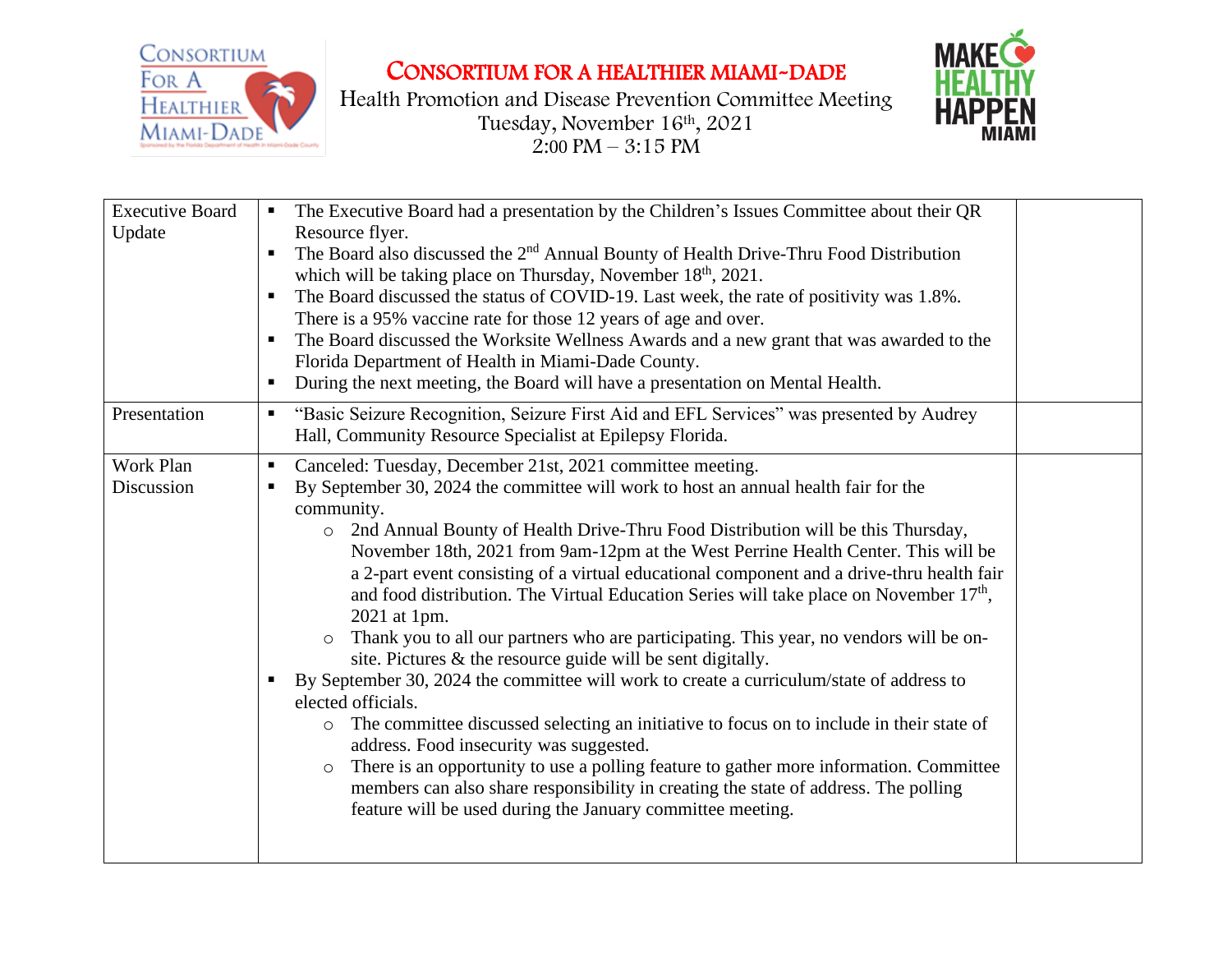

CONSORTIUM FOR A HEALTHIER MIAMI-DADE

Health Promotion and Disease Prevention Committee Meeting Tuesday, November 16th , 2021  $2:00 \text{ PM} - 3:15 \text{ PM}$ 



| <b>Executive Board</b><br>Update | The Executive Board had a presentation by the Children's Issues Committee about their QR<br>$\blacksquare$<br>Resource flyer.<br>The Board also discussed the 2 <sup>nd</sup> Annual Bounty of Health Drive-Thru Food Distribution<br>which will be taking place on Thursday, November 18 <sup>th</sup> , 2021.<br>The Board discussed the status of COVID-19. Last week, the rate of positivity was 1.8%.<br>$\blacksquare$<br>There is a 95% vaccine rate for those 12 years of age and over.<br>The Board discussed the Worksite Wellness Awards and a new grant that was awarded to the<br>$\blacksquare$<br>Florida Department of Health in Miami-Dade County.<br>During the next meeting, the Board will have a presentation on Mental Health.<br>$\blacksquare$                                                                                                                                                                                                                                                                                                                                                                                                                                                                                                           |
|----------------------------------|----------------------------------------------------------------------------------------------------------------------------------------------------------------------------------------------------------------------------------------------------------------------------------------------------------------------------------------------------------------------------------------------------------------------------------------------------------------------------------------------------------------------------------------------------------------------------------------------------------------------------------------------------------------------------------------------------------------------------------------------------------------------------------------------------------------------------------------------------------------------------------------------------------------------------------------------------------------------------------------------------------------------------------------------------------------------------------------------------------------------------------------------------------------------------------------------------------------------------------------------------------------------------------|
| Presentation                     | "Basic Seizure Recognition, Seizure First Aid and EFL Services" was presented by Audrey<br>$\blacksquare$<br>Hall, Community Resource Specialist at Epilepsy Florida.                                                                                                                                                                                                                                                                                                                                                                                                                                                                                                                                                                                                                                                                                                                                                                                                                                                                                                                                                                                                                                                                                                            |
| Work Plan<br>Discussion          | Canceled: Tuesday, December 21st, 2021 committee meeting.<br>$\blacksquare$<br>By September 30, 2024 the committee will work to host an annual health fair for the<br>community.<br>2nd Annual Bounty of Health Drive-Thru Food Distribution will be this Thursday,<br>$\circ$<br>November 18th, 2021 from 9am-12pm at the West Perrine Health Center. This will be<br>a 2-part event consisting of a virtual educational component and a drive-thru health fair<br>and food distribution. The Virtual Education Series will take place on November 17 <sup>th</sup> ,<br>2021 at 1pm.<br>Thank you to all our partners who are participating. This year, no vendors will be on-<br>site. Pictures $\&$ the resource guide will be sent digitally.<br>By September 30, 2024 the committee will work to create a curriculum/state of address to<br>elected officials.<br>The committee discussed selecting an initiative to focus on to include in their state of<br>$\circ$<br>address. Food insecurity was suggested.<br>There is an opportunity to use a polling feature to gather more information. Committee<br>$\circ$<br>members can also share responsibility in creating the state of address. The polling<br>feature will be used during the January committee meeting. |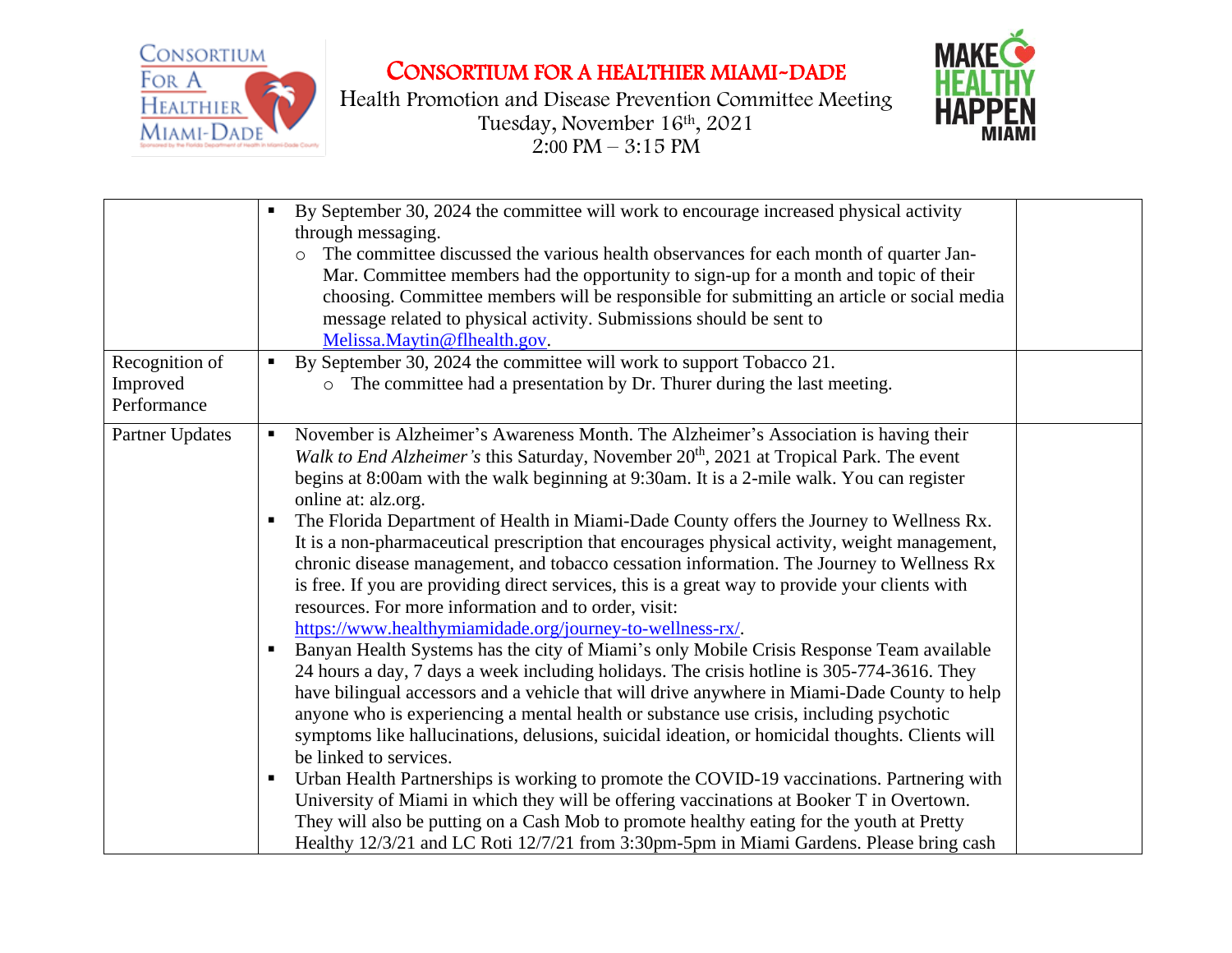

CONSORTIUM FOR A HEALTHIER MIAMI-DADE

Health Promotion and Disease Prevention Committee Meeting Tuesday, November 16th , 2021  $2:00 \text{ PM} - 3:15 \text{ PM}$ 



|                                           | By September 30, 2024 the committee will work to encourage increased physical activity<br>п<br>through messaging.<br>The committee discussed the various health observances for each month of quarter Jan-<br>Mar. Committee members had the opportunity to sign-up for a month and topic of their<br>choosing. Committee members will be responsible for submitting an article or social media<br>message related to physical activity. Submissions should be sent to<br>Melissa.Maytin@flhealth.gov.                                                                                                                                                                                                                                                                                                                                                                                                                                                                                                                                                                                                                                                                                                                                                                                                                                                                                                                                                                                                                                                                                                                                                                                                                                                                 |  |
|-------------------------------------------|------------------------------------------------------------------------------------------------------------------------------------------------------------------------------------------------------------------------------------------------------------------------------------------------------------------------------------------------------------------------------------------------------------------------------------------------------------------------------------------------------------------------------------------------------------------------------------------------------------------------------------------------------------------------------------------------------------------------------------------------------------------------------------------------------------------------------------------------------------------------------------------------------------------------------------------------------------------------------------------------------------------------------------------------------------------------------------------------------------------------------------------------------------------------------------------------------------------------------------------------------------------------------------------------------------------------------------------------------------------------------------------------------------------------------------------------------------------------------------------------------------------------------------------------------------------------------------------------------------------------------------------------------------------------------------------------------------------------------------------------------------------------|--|
| Recognition of<br>Improved<br>Performance | By September 30, 2024 the committee will work to support Tobacco 21.<br>п<br>o The committee had a presentation by Dr. Thurer during the last meeting.                                                                                                                                                                                                                                                                                                                                                                                                                                                                                                                                                                                                                                                                                                                                                                                                                                                                                                                                                                                                                                                                                                                                                                                                                                                                                                                                                                                                                                                                                                                                                                                                                 |  |
| Partner Updates                           | November is Alzheimer's Awareness Month. The Alzheimer's Association is having their<br>п<br>Walk to End Alzheimer's this Saturday, November 20 <sup>th</sup> , 2021 at Tropical Park. The event<br>begins at 8:00am with the walk beginning at 9:30am. It is a 2-mile walk. You can register<br>online at: alz.org.<br>The Florida Department of Health in Miami-Dade County offers the Journey to Wellness Rx.<br>ш<br>It is a non-pharmaceutical prescription that encourages physical activity, weight management,<br>chronic disease management, and tobacco cessation information. The Journey to Wellness Rx<br>is free. If you are providing direct services, this is a great way to provide your clients with<br>resources. For more information and to order, visit:<br>https://www.healthymiamidade.org/journey-to-wellness-rx/.<br>Banyan Health Systems has the city of Miami's only Mobile Crisis Response Team available<br>$\blacksquare$<br>24 hours a day, 7 days a week including holidays. The crisis hotline is 305-774-3616. They<br>have bilingual accessors and a vehicle that will drive anywhere in Miami-Dade County to help<br>anyone who is experiencing a mental health or substance use crisis, including psychotic<br>symptoms like hallucinations, delusions, suicidal ideation, or homicidal thoughts. Clients will<br>be linked to services.<br>Urban Health Partnerships is working to promote the COVID-19 vaccinations. Partnering with<br>п<br>University of Miami in which they will be offering vaccinations at Booker T in Overtown.<br>They will also be putting on a Cash Mob to promote healthy eating for the youth at Pretty<br>Healthy 12/3/21 and LC Roti 12/7/21 from 3:30pm-5pm in Miami Gardens. Please bring cash |  |